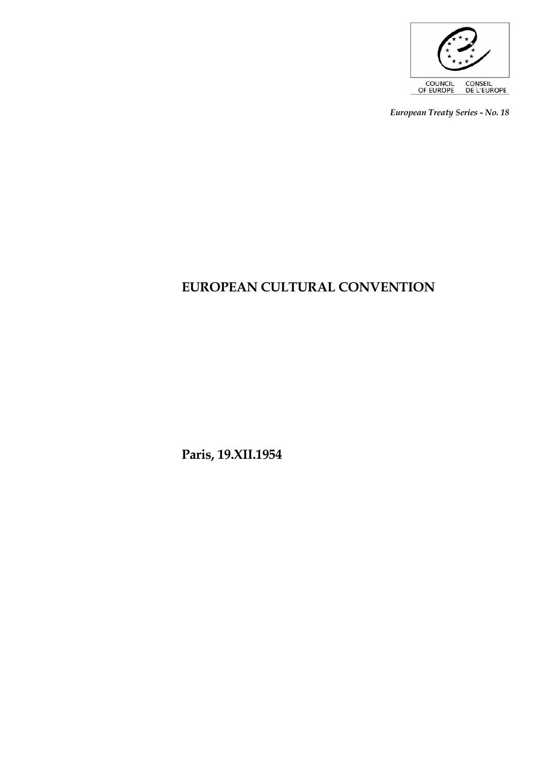

*European Treaty Series - No. 18* 

# **EUROPEAN CULTURAL CONVENTION**

**Paris, 19.XII.1954**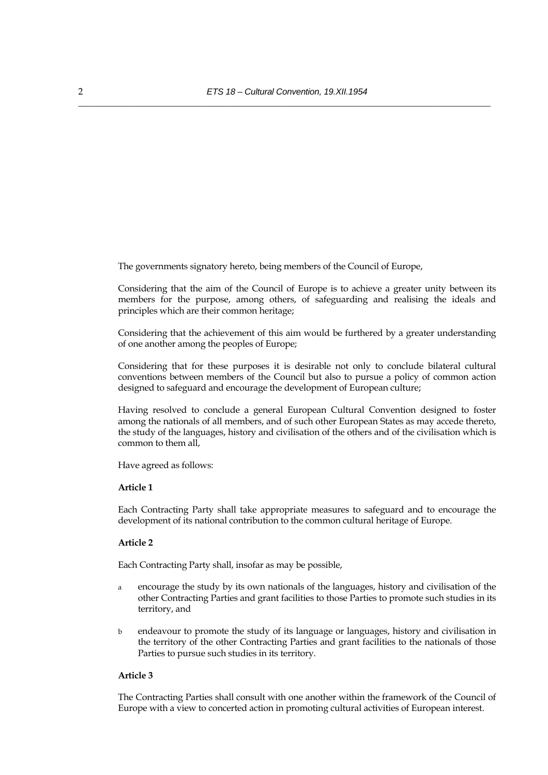The governments signatory hereto, being members of the Council of Europe,

 Considering that the aim of the Council of Europe is to achieve a greater unity between its members for the purpose, among others, of safeguarding and realising the ideals and principles which are their common heritage;

 Considering that the achievement of this aim would be furthered by a greater understanding of one another among the peoples of Europe;

 Considering that for these purposes it is desirable not only to conclude bilateral cultural conventions between members of the Council but also to pursue a policy of common action designed to safeguard and encourage the development of European culture;

 Having resolved to conclude a general European Cultural Convention designed to foster among the nationals of all members, and of such other European States as may accede thereto, the study of the languages, history and civilisation of the others and of the civilisation which is common to them all,

Have agreed as follows:

# **Article 1**

 Each Contracting Party shall take appropriate measures to safeguard and to encourage the development of its national contribution to the common cultural heritage of Europe.

### **Article 2**

Each Contracting Party shall, insofar as may be possible,

- a encourage the study by its own nationals of the languages, history and civilisation of the other Contracting Parties and grant facilities to those Parties to promote such studies in its territory, and
- b endeavour to promote the study of its language or languages, history and civilisation in the territory of the other Contracting Parties and grant facilities to the nationals of those Parties to pursue such studies in its territory.

#### **Article 3**

 The Contracting Parties shall consult with one another within the framework of the Council of Europe with a view to concerted action in promoting cultural activities of European interest.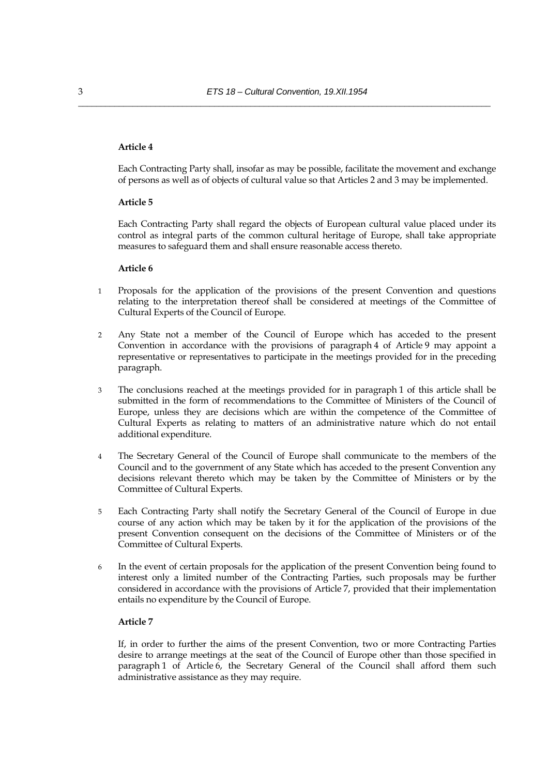# **Article 4**

 Each Contracting Party shall, insofar as may be possible, facilitate the movement and exchange of persons as well as of objects of cultural value so that Articles 2 and 3 may be implemented.

#### **Article 5**

 Each Contracting Party shall regard the objects of European cultural value placed under its control as integral parts of the common cultural heritage of Europe, shall take appropriate measures to safeguard them and shall ensure reasonable access thereto.

#### **Article 6**

- 1 Proposals for the application of the provisions of the present Convention and questions relating to the interpretation thereof shall be considered at meetings of the Committee of Cultural Experts of the Council of Europe.
- 2 Any State not a member of the Council of Europe which has acceded to the present Convention in accordance with the provisions of paragraph 4 of Article 9 may appoint a representative or representatives to participate in the meetings provided for in the preceding paragraph.
- 3 The conclusions reached at the meetings provided for in paragraph 1 of this article shall be submitted in the form of recommendations to the Committee of Ministers of the Council of Europe, unless they are decisions which are within the competence of the Committee of Cultural Experts as relating to matters of an administrative nature which do not entail additional expenditure.
- 4 The Secretary General of the Council of Europe shall communicate to the members of the Council and to the government of any State which has acceded to the present Convention any decisions relevant thereto which may be taken by the Committee of Ministers or by the Committee of Cultural Experts.
- 5 Each Contracting Party shall notify the Secretary General of the Council of Europe in due course of any action which may be taken by it for the application of the provisions of the present Convention consequent on the decisions of the Committee of Ministers or of the Committee of Cultural Experts.
- 6 In the event of certain proposals for the application of the present Convention being found to interest only a limited number of the Contracting Parties, such proposals may be further considered in accordance with the provisions of Article 7, provided that their implementation entails no expenditure by the Council of Europe.

#### **Article 7**

 If, in order to further the aims of the present Convention, two or more Contracting Parties desire to arrange meetings at the seat of the Council of Europe other than those specified in paragraph 1 of Article 6, the Secretary General of the Council shall afford them such administrative assistance as they may require.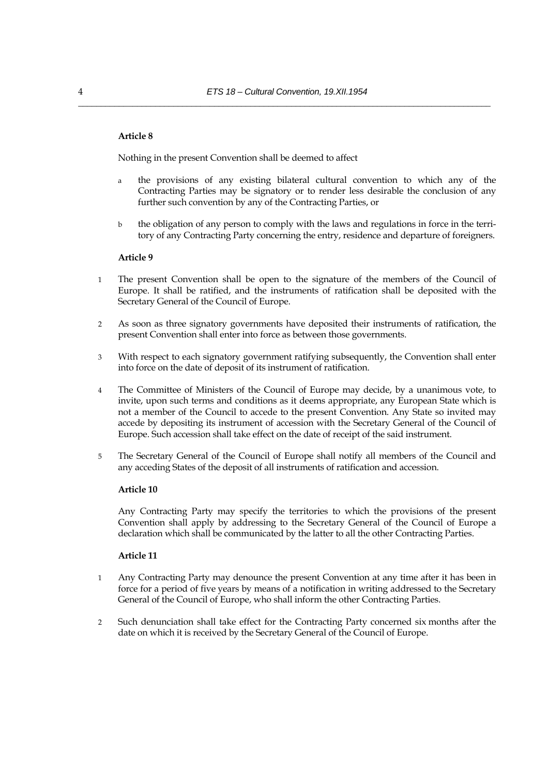# **Article 8**

Nothing in the present Convention shall be deemed to affect

- a the provisions of any existing bilateral cultural convention to which any of the Contracting Parties may be signatory or to render less desirable the conclusion of any further such convention by any of the Contracting Parties, or
- b the obligation of any person to comply with the laws and regulations in force in the territory of any Contracting Party concerning the entry, residence and departure of foreigners.

# **Article 9**

- 1 The present Convention shall be open to the signature of the members of the Council of Europe. It shall be ratified, and the instruments of ratification shall be deposited with the Secretary General of the Council of Europe.
- 2 As soon as three signatory governments have deposited their instruments of ratification, the present Convention shall enter into force as between those governments.
- 3 With respect to each signatory government ratifying subsequently, the Convention shall enter into force on the date of deposit of its instrument of ratification.
- 4 The Committee of Ministers of the Council of Europe may decide, by a unanimous vote, to invite, upon such terms and conditions as it deems appropriate, any European State which is not a member of the Council to accede to the present Convention. Any State so invited may accede by depositing its instrument of accession with the Secretary General of the Council of Europe. Such accession shall take effect on the date of receipt of the said instrument.
- 5 The Secretary General of the Council of Europe shall notify all members of the Council and any acceding States of the deposit of all instruments of ratification and accession.

#### **Article 10**

 Any Contracting Party may specify the territories to which the provisions of the present Convention shall apply by addressing to the Secretary General of the Council of Europe a declaration which shall be communicated by the latter to all the other Contracting Parties.

#### **Article 11**

- 1 Any Contracting Party may denounce the present Convention at any time after it has been in force for a period of five years by means of a notification in writing addressed to the Secretary General of the Council of Europe, who shall inform the other Contracting Parties.
- 2 Such denunciation shall take effect for the Contracting Party concerned six months after the date on which it is received by the Secretary General of the Council of Europe.